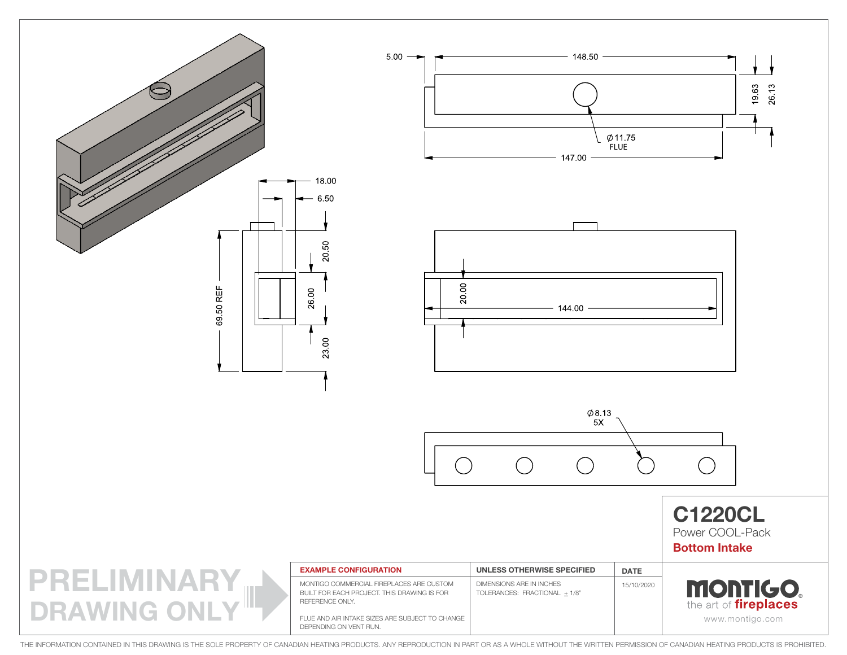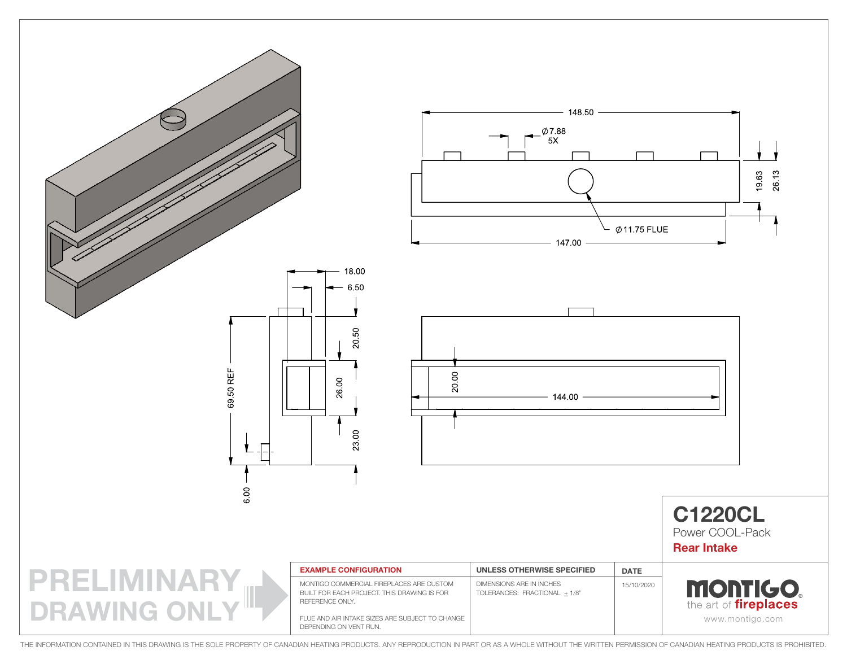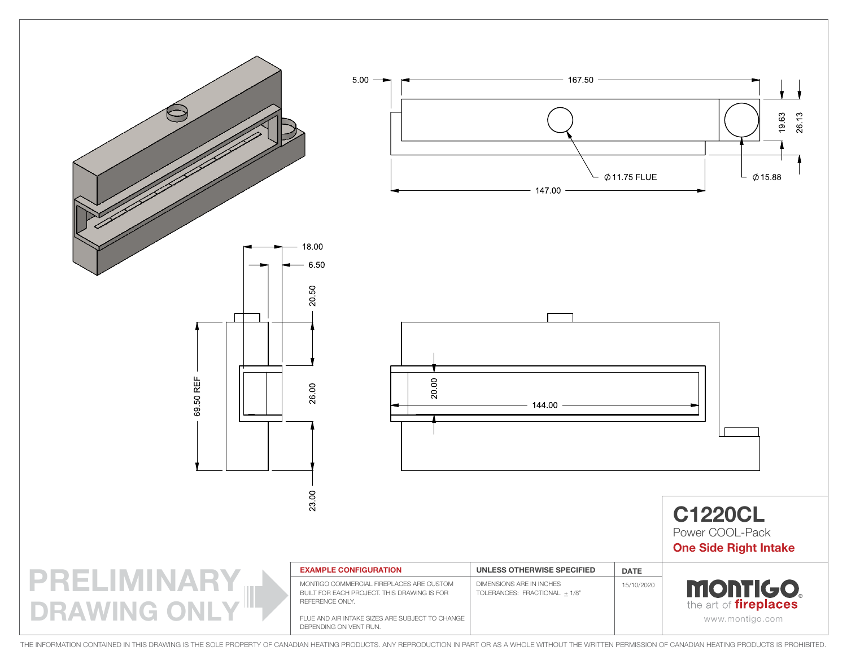